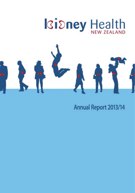

**Annual Report 2013/14**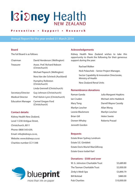# **Kidney Health**

#### Prevention . Support . Research

#### Annual Report for the year ended 31 March 2014

#### **Board**

The full Board is as follows:

| Chairman                 | David Henderson (Wellington)                  |  |
|--------------------------|-----------------------------------------------|--|
| Treasurer                | Assoc, Prof. Richard Robson<br>(Christchurch) |  |
|                          | Michael Papesch (Wellington)                  |  |
|                          | Nora Van der Schrieck (Auckland)              |  |
|                          | <b>Humphry Rolleston</b><br>(Christchurch)    |  |
|                          | Linda Grennell (Christchurch)                 |  |
| Secretary/Director       | Guy Johnson (Christchurch)                    |  |
| <b>Medical Director</b>  | Prof. Kelvin Lynn (Christchurch)              |  |
| <b>Education Manager</b> | Carmel Gregan-Ford<br>(Christchurch)          |  |

#### **Contact details:**

Kidney Health New Zealand, Level 1/230 Antigua Street, Christchurch, 8011 Phone: 0800 543 639, Email: info@kidneys.co.nz, Website: www.kidneys.co.nz Charities number CC11348

## blueprint more than ink on paper

#### **Acknowledgements**

Kidney Health New Zealand wishes to take this opportunity to thank the following for their generous support during the year:

 Rachael Walker Nick Polaschek – Senior Project Manager, Sector Capability & Innovation Directorate, Ministry of Health New Zealand Renal Units

#### **Remembrance donations**

| Raman Ganda       | <b>Julia Margaret Hopkins</b> |
|-------------------|-------------------------------|
| Jan Cruden        | Michael John Haddock          |
| Mary Tong         | Darrell Wayne Cassidy         |
| Marilyn Lescher   | Allan Wong                    |
| Leonie Blackmore  | Marilyn Lescher               |
| <b>Brian Gill</b> | Helen Swete                   |
| Doreen Whaley     | Roberta Prasad                |
| Jenneth Gordon    |                               |

#### **Bequests**

Estate Brian Sydney Lendrum Estate S.E. Gimblett Estate Doris Muriel MacGillivray Estate Grace Isobel Karl

#### **Donations - \$500 and over**

| W. G. Johnston Charitable Trust | \$5,689.80  |
|---------------------------------|-------------|
| The Tasman Charitable Trust     | \$2,000.00  |
| Zinky's Medi Spa                | \$3,890.79  |
| Bill Bolstad                    | \$880.00    |
| <b>Pub Charities</b>            | \$10,000.00 |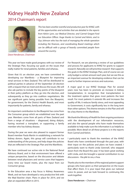## Kidney Health New Zealand 2014 Chairman's report



Dave Henderson, Chairman

This year we have made good progress with our review of the Strategic Plan, focusing our goals on the issues that really matter for renal patients, families and whanau.

Given that it's an election year, we have committed to developing our Manifesto - a Blueprint for improving renal services in New Zealand. This will be distributed to political parties in advance of the September 20 election with a request that we meet and discuss the issues. We will also ask parties to include the key points of the blueprint in their policy platform as they go into the election, and subsequently as they go into coalition negotiations. We see significant gains being possible from the Blueprint, for government, for the District Health Boards, and most importantly for patients, family and whanau.

An important contribution to the Blueprint has come from the Consumer group which we established over the past year. Members come from all parts of New Zealand and from a range of situations – diagnosed, doing dialysis, having received a transplant, or supporting a family member who has kidney disease.

During the year we were also pleased to support former Board member Paula Martin in establishing a network for kidney donors. Again, this group will contribute to our understanding of the process, and help shape the policies that are reflected in the Strategic Plan and the Manifesto.

We have continued our active role in the National Renal Advisory Board, and in that environment have offered a unique perspective, based on the discussion and debate between renal physicians and service users that happens every time our board meets, plus the input from our Consumer group.

In the Education area a key focus is Kidney Awareness Week, and we have developed a very productive link with the Mad Butcher chain. Plans in place for 2014, and we plan an expanded effort in 2015.

This has been another eventful and productive year for KHNZ, with all the opportunities and activities that are detailed in the reports from Kelvin Lynn, our Medical Director, and Carmel Gregan-Ford our Education Officer. Huge thanks to Carmel and Kelvin, and to Guy Johnson who has the task of managing the whole operation including the finances, and coordinating Board meetings which can be difficult with a group of heavily committed people from around the country.

> For Research, we are planning a review of our guidelines and process for applicants to KHNZ for grants to support research. Naturally we will prioritise research that supports the goals in the KHNZ Strategic Plan, and of course we can only budget a certain amount each year, but we see this as an important avenue for developing evidence that can be used to further improve services and outcomes.

> A major goal in our KHNZ Strategic Plan for several years now has been to promote an increase in kidney transplantation, in recognition that transplantation is the treatment option that gives most patients the best result. For most patients it extends life and increases the quality of life, it reduces family stress, and most appealing to Government, it costs significantly less in the long term than other options. This theme remains in the Plan and will be a key theme in the Manifesto.

> We thank the Ministry of Health for their ongoing assistance with the development of our information resources, and also the special people who have made themselves available to help make sure the information is as helpful as possible. More detail on all these projects is in the reports from Carmel and Kelvin.

> I particularly want to thank the members of the KHNZ Board who have contributed through the past year, with their input on the policies and plans we have created. I particularly want to thank Linda Grennell, who stepped down from the Board this year. It has been great working with Linda, and she brought a special contribution to our discussions - Kia piki te ora, e hoa.

> Thanks also to the members of the regional patient support groups who have given us their perspective on the issues that affect them. It is your input that gives our national voice its power, and we look forward to continuing this work together.

**Dave Henderson –** Chairman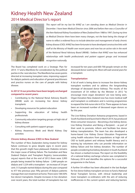## Kidney Health New Zealand 2014 Medical Director's report



This report will be my last for KHNZ as I am standing down as Medical Director in December. I have been Medical Director since 2006 and before then was a Councillor of the then National Kidney Foundation of New Zealand from 1988 to 1997. During my time as Medical Director there have been many changes, not the least being the change of name to reflect a widened focus to include detection and management of early chronic kidney disease (CKD). KHNZ has been fortunate to have developed constructive links with staff at the Ministry of Health over recent years and now has an active role in the work of the National Renal Advisory Board (NRAB). I believe that KHNZ now has enhanced relationships with health professionals and patient support groups and increased recognition nationally.

The Board has completed work on a Strategic Plan for 2014 -17 and a Manifesto for consideration by the political parties in the next election. The Manifesto has seven points directed at increasing transplant rates, improving support for dialysis patients and education of general practitioners and practice nurses on the care of people with kidney disease.

#### **In 2013/14 our priorities have been largely unchanged compared to recent years:**

- Contributing to the National Renal Advisory Board's (NRAB) work on increasing live donor kidney transplants
- Developing resources for patient education
- Supporting the education of kidney health professionals
- Community education targeting groups at high risk of kidney disease
- Consulting with patient support groups
- Kidney Awareness Week and World Kidney Day activities

#### **Chronic kidney disease (CKD) in New Zealand**

The number of New Zealanders being treated for kidney failure continues to grow despite signs in recent years that this growth might have plateaued. Diabetes remains the major cause of kidney failure. The Australian and New Zealand Dialysis and Transplant Registry (www.anzdata. org.au) reports that at the end of 2012 there were 3,993 people being treated for kidney failure - 2,469 people on dialysis and 1,524 with a transplant – an increase of 3.4 per cent. 513 people started dialysis during the year compared to 477 the previous year. Fifty percent of dialysis patients manage their own treatment at home. There were 108 (50% live donor) transplants. Despite increases in live donation over recent years, the total number of transplants has not increased for ten years and 600-700 people remain on the deceased donor waiting list. Most will wait several years for a transplant.

#### **Transplantation**

A lot of work is being done to increase live donor kidney transplant numbers and to address the longstanding shortage of deceased donor kidneys. The results of the investment of \$4 million by the Minister in 2012 "to encourage more organ donations" are now being seen. Organ Donation New Zealand now has more medical staff and transplant co-ordinators and is running programmes to expand the link nurse role in ICUs. There appears to have been an increased number of deceased organ donors so far this year.

The Live Kidney Donation Aotearoa programme, based in South Auckland and launched in March 2014, has produced three consumer resources – Becoming a live kidney donor, Live Kidney Donation and Being a Recipient – as part of their work to promote, inform and facilitate live donor kidney transplantation. The team has also developed a home-based Live Kidney Donor Education Programme using health educators from populations at high risk of CKD to build patient and whānau health literacy and is training lay volunteers who can provide information on kidney failure and live kidney donation. The number of people considering live kidney donation in South Auckland has shown a marked increase. The report on the feasibility of a national kidney exchange scheme was completed in February 2014 and identifies the options for a successful programme in the future.

A further \$4 million has been allocated in the last Budget for live donor kidney transplant services to fund a National Renal Transplant Service, with clinical leadership and more transplant co-ordinators with the aim of reducing inefficiencies in the current system and reducing barriers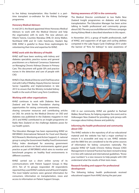to live kidney transplantation. Also funded is a parttime transplant co-ordinator for the Kidney Exchange programme.

#### **Honorary Medical Advisors**

In mid 2013, the Board appointed three Honorary Medical Advisors to work with the Medical Director and help the organisation with its work. The new advisors are Viliami Tutone, Counties Manakau DHB, Dr Jenny Walker, Northland DHB and Dr Colin Hutchison, Hawke's Bay DHB. KHNZ is grateful to these three nephrologists for volunteering their time and expertise for KHNZ.

#### **KHNZ work with the Ministry of Health**

KHNZ staff have been working with kidney and diabetes specialists, practice nurses and general practitioners on a National Consensus Statement on Managing Chronic Kidneys Disease in Primary Care. This document will guide GPs and practice nurses in the detection and care of people with CKD.

KHNZ's Chair, Medical Director and Chief Executive met with Cathy O'Malley, Deputy Director-General Sector Capability and Implementation in late 2013 to ensure that the Ministry included kidney health in the work of their Long Term Conditions.

#### **Working with other organisations**

KHNZ continues to work with Diabetes New Zealand and the Stroke Foundation sharing opportunities for raising community awareness,

sharing consumer resources and contributing articles on CKD. An article by the Medical Director on CKD and diabetes was published in the Diabetes magazine in mid 2013 and KHNZ contributed to an Insight programme on Radio New Zealand on the challenge diabetes poses for our health system.

The Education Manager has been representing KHNZ on INFORMAS (International Network for Food and Obesity/ NCD Research, Monitoring and Action Support). A national group is using the Government Healthy Food Environment Policy Index developed for assessing government policies and actions on food environments against good practice as part of INFORMAS which aims to monitor and benchmark progress on healthy food environments in different countries.

KHNZ carried out a short online survey of its communications with Patient Support Groups in May 2013. Ten of 16 groups responded. All respondents reported they used KHNZ's website and all found it helpful. The most helpful sections were general information for consumers, information on transplantation, news and access to information on Patient Support Groups.

#### **Raising awareness of CKD in the community**

The Medical Director contributed to two Radio New Zealand Insight programmes on diabetes and kidney transplantation. The Education Manager has been active talking to health professional and community groups about CKD. The very successful Warrant of Fitness campaign during Kidney Week is described elsewhere in this report.

In November 2013, a group of health professionals, staff of KHNZ, and supporters of all ages and cycling abilities competed in the Lake Taupo Cycle Challenge 2013 under the banner of "Kms for kidneys" to raise awareness of



CKD in our community. KHNZ are grateful to Rachael Walker, Renal Nurse, for helping organise the event and to Volkswagen New Zealand for providing cycle jerseys with messages about kidney disease and publicity.

#### **Informing the health professional and community about CKD**

The KHNZ website is the repository of all our educational material and the website has had a major overhaul to ensure it is accessible and easy to use. KHNZ website and the 0800 line are considered to be the prime sources of information for kidney consumers nationally. The popular KHNZ GP Guide (Chronic Kidney Disease (CKD) Management in General Practice) has been revised to keep it in line with national and international guidelines. "Know your numbers" is a new resource to help people with CKD understand what the results of their tests mean.

#### **Research funding and support for professional development**

The following kidney health professionals received educational support from KHNZ during the past year: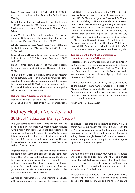**Lynne Olson**, Renal Dietitian at Auckland DHB – \$2,000 to attend the National Kidney Foundation Spring Clinical Meeting.

**Lucy Robinson**, Clinical Psychologist at Starship Hospital – \$2,000 to attend the 2014 European Working Party on Psycho-social aspects of Children with Chronic Renal Failure.

**Jason Wei**, Technical Advisor, Haemodialysis Services at Auckland DHB to attend the International Congress of International Society of Haemodialysis - \$2,000.

**Julie Lawrence and Tessa Averill**, Renal Nurses at Hawke's Bay DHB to attend the 2014 Home Therapies Conference- \$1,000 each.

**Peggy Zhang and Rosella Tariq**, Renal Nurses at Auckland DHB, to attend the ISPD Asian Chapter Conference - \$2,00 and \$500.

**Helen Hoffman**, dialysis educator at Wellington Hospital for a preceptorship at St Georges Hospital in Sydney- \$2,000.

The Board of KHNZ is currently revising its research funding strategy. As a result there will be new priorities for investment in research and education. Until this process has been completed KHNZ will not be seeking applications for research funding. It is anticipated that the new policy will be released in the near future.

#### **National Renal Advisory Board (NRAB)**

Kidney Health New Zealand acknowledges the work of Dr Marshall over the past three years of energetically

and skilfully overseeing the work of the NRAB as its Chair, particularly in the important area of transplantation. In late 2013, Dr Marshal resigned as Chair and Dr Murray Leikis from Wellington Hospital was elected to succeed him. Dr Leikis did his nephrology training in Wellington and Melbourne and returned to Wellington Hospital in 2006 as a full time Renal Physician. Dr Leikis has been the Clinical Leader of the Wellington Renal Service since July 2011. Two new members have been elected to replace Dr Marshall and Dr Van der Merwe – Dr Ian Dittmer from Auckland Hospital and Dr Chris Hood from Middlemore Hospital. KHNZ's involvement with the work of the NRAB is critical in enabling the organisation to achieve its goals.

#### **Two prominent kidney health professionals recognised in New Year's Honours List**

Professor Stephen Munn, transplant surgeon and Adrian Buttimore, dialysis clinician, are congratulated for being made Officers of the New Zealand Order of Merit at the New Year for their services to health. Both have made significant contributions to the care of people with kidney disease in New Zealand.

I am grateful to the Board of KHNZ, the other members of the Executive team, Carmel Gregan-Ford, Education Manager and Guy Johnson, Chief Executive, Deanne Hock, Administration, my nephrology colleagues and the many members of patient support groups for their support and advice over the past year.

**Kelvin Lynn** – Medical Director

## Kidney Health New Zealand 2013-2014 Education Manager's report

This year seems to have been a time for updating and developing new resources. Our most popular resource "Living with Kidney Failure" Book has been updated and is now called "Living with Kidney Disease". We have used this opportunity to add a couple of extra chapters with increased information for patients and their families; we have made sure the content is relevant to New Zealand, as with all of our resources.

Together with our CEO, I visited Kidney patient support groups throughout the South Island to talk to them about Kidney Health New Zealand's Strategic plan and to identify key areas of need and where they see our role as the national organisation. These have been very useful as we plan our future work and we visited a number of support groups in the North Island later in the year and from this the Consumer Council was established.

We held our first Consumer Council meeting in February with kidney patients from around the country invited

to discuss issues that are important to them. KHNZ is committed to our mission for, Better Kidney Health for all New Zealanders and to be the lead organisation for improving kidney health and minimising the impact of kidney disease through, Research, Community awareness; education, support and advocacy. I now provide regular updates of our work to this group.

#### **Resources**

We have completed the "Know your numbers" resources which talks about blood tests and what the number means for each test. As our plastic kidney health check cards advise we recommend people get to "know your numbers". This has proved to be a popular resource with several requests for this already.

Another resource completed "If you have Kidney Disease we can help" brochure. This is designed to tell people about Kidney Health New Zealand and the services we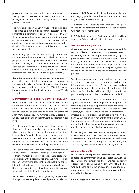provide, so keep an eye out for these in your Doctors waiting rooms. These are distributed along with our GP Management Guide to Chronic Kidney Disease, which has just been updated.

The new Live Kidney Donor Network, which has been established as a result of Paula Martin's research into the barriers to live donation, has been very popular with more than 150 living kidney donors signing up to be included on our database and very keen to be involved, talking about their experiences and raising awareness about live donation. The inaugural meeting for this group has been set down for late July.

With funding approved last year, the long awaited and much requested educational DVD, which is aimed at people with end stage kidney disease and treatment options available, has commenced production; this is designed specifically to be a home grown New Zealand resource for kidney patients and their families. It will be translated into Tongan and Samoan languages initially.

Our website was upgraded to a more user friendly and easily accessible resource, this has seen an increase in requests for information via our Contact Us page. Interest in our Facebook page continues to grow. The 0800 information line continues to be well utilised with an average of 30 calls a month.

#### **Kidney Health Week incorporating World Kidney Day**

World Kidney Day aims to raise awareness of the importance of our kidneys to our overall health and to reduce the frequency and impact of kidney disease and its associated health problems worldwide. The theme for 2014 World Kidney day was Chronic Kidney Disease and Kidney Health New Zealand's aim was to target those most at risk.

Chronic kidney disease increases with older age, and for those with diabetes the risk is even greater. For those whose kidney disease is severe this leads to end stage kidney failure for which dialysis may be the only available treatment. The enormous health care costs associated with long term dialysis treatment are unsustainable, and there remains an unmet demand for kidney transplantation.

This year the Mad Butcher group agreed to distribute our Kidney Warrant of Fitness themed packs throughout all of their seventeen shops in Auckland. These packs were an envelope with a specially designed Warrant of Fitness label on the front. Included in the packs was urine testing kit, with instructions on use, information about Kidney Disease, and a plastic card with advice on what to ask your GP to do to check the health of your kidney.

We ran a radio advertising campaign telling people about the importance of early detection and prevention of kidney disease, with Sir Peter Leitch voicing the commercials and encouraging people to visit their local Mad Butcher store to get a free Kidney Health WOF pack.

The response was overwhelming with the 3000 packs available gone before the end of the week. I was inundated with requests for more packs.

KHNZ also had a presence at Pasifika being held in Auckland where our Kidney Health Check packs were given out.

#### **Work with other organisations**

I have represented KHNZ on the International Network for Food and Obesity / non-communicable diseases Research, Monitoring and Action Support (INFORMAS) group. This group of 52 New Zealand-based independent public health experts, medical practitioners and NGO representatives rated the extent of implementation of policies on food environments and infrastructure support systems by the New Zealand government against international best practice.

We then identified and prioritised actions needed to address critical gaps in government policies and infrastructure support. New Zealand has an excellent opportunity to take the prevention of obesity and dietrelated NCDs seriously, and invest in highly cost-effective policies and programs to become a leader in the field.

Following this I was invited to represent KHNZ on the Agencies for Nutrition Action organisation, the purpose of this group is "to reduce the premature death and disability caused by preventable lifestyle diseases such as heart disease, type 2 diabetes, stroke and certain cancers that are affected by poor nutrition and physical activity." This has been a great opportunity not only to contribute in an area that impacts on our patient group, but also the chance to network with other people and organisations passionate about improving the health of our communities.

In the past year there have been many requests to speak to service groups such as Rotary, Lions and WEA, as well as sessions for Post graduate nursing courses, workplaces and PHOs. I find these sessions particularly rewarding and another way to raise awareness about kidney disease.

#### **Acknowledgements**

I'd like to take this opportunity to thank Kelvin Lynn for his support and commitment to Kidney Health New Zealand. His passion and concern for those affected by kidney disease is obvious and during his time with KHNZ he has worked hard to ensure we are recognised as a reputable organisation. I wish him well in the next phase of his life and will miss his guidance.

**Carmel Gregan-Ford RN, BHSc** – Education Manager